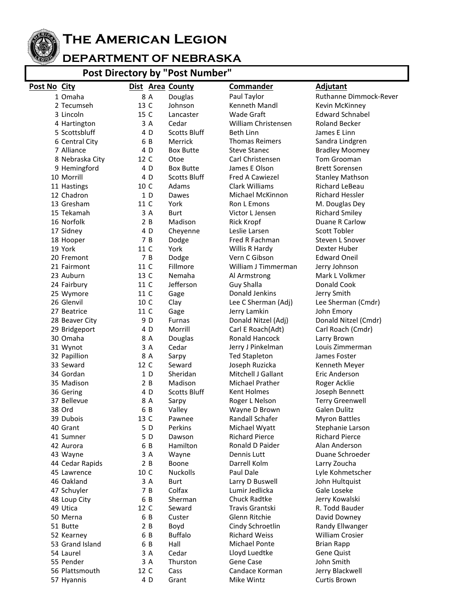

## **The American Legion**

## **DEPARTMENT OF NEBRASKA**

## **Post Directory by "Post Number"**

| Post No City    | Dist Area County |                     | <b>Commander</b>       | <b>Adjutant</b>        |
|-----------------|------------------|---------------------|------------------------|------------------------|
| 1 Omaha         | 8 A              | Douglas             | Paul Taylor            | Ruthanne Dimmock-Rever |
| 2 Tecumseh      | 13 C             | Johnson             | Kenneth Mandl          | Kevin McKinney         |
| 3 Lincoln       | 15 C             | Lancaster           | <b>Wade Graft</b>      | <b>Edward Schnabel</b> |
| 4 Hartington    | 3A               | Cedar               | William Christensen    | <b>Roland Becker</b>   |
| 5 Scottsbluff   | 4 D              | <b>Scotts Bluff</b> | <b>Beth Linn</b>       | James E Linn           |
| 6 Central City  | 6 B              | Merrick             | <b>Thomas Reimers</b>  | Sandra Lindgren        |
| 7 Alliance      | 4 D              | <b>Box Butte</b>    | <b>Steve Stanec</b>    | <b>Bradley Moomey</b>  |
| 8 Nebraska City | 12 C             | Otoe                | Carl Christensen       | Tom Grooman            |
| 9 Hemingford    | 4 D              | <b>Box Butte</b>    | James E Olson          | <b>Brett Sorensen</b>  |
| 10 Morrill      | 4 D              | <b>Scotts Bluff</b> | <b>Fred A Cawiezel</b> | <b>Stanley Mathson</b> |
| 11 Hastings     | 10 C             | Adams               | Clark Williams         | Richard LeBeau         |
| 12 Chadron      | 1 D              | Dawes               | Michael McKinnon       | <b>Richard Hessler</b> |
| 13 Gresham      | 11 C             | York                | Ron L Emons            | M. Douglas Dey         |
| 15 Tekamah      | 3 A              | Burt                | Victor L Jensen        | <b>Richard Smiley</b>  |
| 16 Norfolk      | 2B               | Madison             | <b>Rick Kropf</b>      | Duane R Carlow         |
| 17 Sidney       | 4 D              | Cheyenne            | Leslie Larsen          | Scott Tobler           |
| 18 Hooper       | 7 B              | Dodge               | Fred R Fachman         | Steven L Snover        |
| 19 York         | 11 C             | York                | Willis R Hardy         | Dexter Huber           |
| 20 Fremont      | 7 B              | Dodge               | Vern C Gibson          | <b>Edward Oneil</b>    |
| 21 Fairmont     | 11 C             | Fillmore            | William J Timmerman    | Jerry Johnson          |
| 23 Auburn       | 13 C             | Nemaha              | Al Armstrong           | Mark L Volkmer         |
| 24 Fairbury     | 11 C             | Jefferson           | Guy Shalla             | Donald Cook            |
| 25 Wymore       | 11 C             | Gage                | Donald Jenkins         | Jerry Smith            |
| 26 Glenvil      | 10 C             | Clay                | Lee C Sherman (Adj)    | Lee Sherman (Cmdr)     |
| 27 Beatrice     | 11 C             | Gage                | Jerry Lamkin           | John Emory             |
| 28 Beaver City  | 9 D              | <b>Furnas</b>       | Donald Nitzel (Adj)    | Donald Nitzel (Cmdr)   |
| 29 Bridgeport   | 4 D              | Morrill             | Carl E Roach(Adt)      | Carl Roach (Cmdr)      |
| 30 Omaha        | 8 A              | Douglas             | Ronald Hancock         | Larry Brown            |
| 31 Wynot        | 3 A              | Cedar               | Jerry J Pinkelman      | Louis Zimmerman        |
| 32 Papillion    | 8 A              | Sarpy               | <b>Ted Stapleton</b>   | James Foster           |
| 33 Seward       | 12 C             | Seward              | Joseph Ruzicka         | Kenneth Meyer          |
| 34 Gordan       | 1D               | Sheridan            | Mitchell J Gallant     | Eric Anderson          |
| 35 Madison      | 2B               | Madison             | <b>Michael Prather</b> | Roger Acklie           |
| 36 Gering       | 4 D              | <b>Scotts Bluff</b> | Kent Holmes            | Joseph Bennett         |
| 37 Bellevue     | 8 A              | Sarpy               | Roger L Nelson         | <b>Terry Greenwell</b> |
| 38 Ord          | 6 B              | Valley              | Wayne D Brown          | Galen Dulitz           |
| 39 Dubois       | 13 C             | Pawnee              | Randall Schafer        | <b>Myron Battles</b>   |
| 40 Grant        | 5 D              | Perkins             | Michael Wyatt          | Stephanie Larson       |
| 41 Sumner       | 5 D              | Dawson              | <b>Richard Pierce</b>  | <b>Richard Pierce</b>  |
| 42 Aurora       | 6 B              | Hamilton            | Ronald D Paider        | Alan Anderson          |
| 43 Wayne        | 3 A              | Wayne               | Dennis Lutt            | Duane Schroeder        |
| 44 Cedar Rapids | 2B               | Boone               | Darrell Kolm           | Larry Zoucha           |
| 45 Lawrence     | 10 C             | <b>Nuckolls</b>     | Paul Dale              | Lyle Kohmetscher       |
| 46 Oakland      | 3 A              | <b>Burt</b>         | Larry D Buswell        | John Hultquist         |
| 47 Schuyler     | 7 B              | Colfax              | Lumir Jedlicka         | Gale Loseke            |
| 48 Loup City    | 6 B              | Sherman             | <b>Chuck Radtke</b>    | Jerry Kowalski         |
| 49 Utica        | 12 C             | Seward              | Travis Grantski        | R. Todd Bauder         |
| 50 Merna        | 6 B              | Custer              | Glenn Ritchie          | David Downey           |
| 51 Butte        | 2 B              | Boyd                | Cindy Schroetlin       | Randy Ellwanger        |
| 52 Kearney      | 6 B              | <b>Buffalo</b>      | <b>Richard Weiss</b>   | <b>William Crosier</b> |
| 53 Grand Island | 6 B              | Hall                | <b>Michael Ponte</b>   | <b>Brian Rapp</b>      |
| 54 Laurel       | 3 A              | Cedar               | Lloyd Luedtke          | Gene Quist             |
| 55 Pender       | 3 A              | Thurston            | Gene Case              | John Smith             |
| 56 Plattsmouth  | 12 C             | Cass                | Candace Korman         | Jerry Blackwell        |
| 57 Hyannis      | 4 D              | Grant               | Mike Wintz             | Curtis Brown           |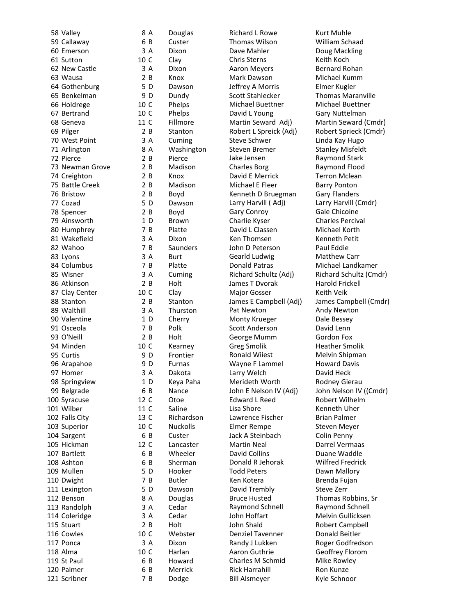59 Callaway **6 B** Custer Thomas Wilson 108 Ashton 6 B Sherman Donald R Jehorak 121 Scribner **7 B** Dodge Bill Alsmeyer Kyle Schnoor

 Valley 8 A Douglas Richard L Rowe Kurt Muhle Emerson 3 A Dixon Dave Mahler Doug Mackling 61 Sutton 10 C Clay Chris Sterns Keith Koch 62 New Castle 3 A Dixon Aaron Meyers Bernard Rohan Wausa 2 B Knox Mark Dawson Michael Kumm Gothenburg 5 D Dawson Jeffrey A Morris Elmer Kugler Benkelman 9 D Dundy Scott Stahlecker Thomas Maranville Holdrege 10 C Phelps Michael Buettner Michael Buettner 67 Bertrand 10 C Phelps David L Young Gary Nuttelman 70 West Point **3 A** Cuming Steve Schwer Linda Kay Hugo Arlington 8 A Washington Steven Bremer Stanley Misfeldt Pierce 2 B Pierce Jake Jensen Raymond Stark 73 Newman Grove 2 B Madison Charles Borg Raymond Flood Creighton 2 B Knox David E Merrick Terron Mclean Battle Creek 2 B Madison Michael E Fleer Barry Ponton Bristow 2 B Boyd Kenneth D Bruegman Gary Flanders Cozad 5 D Dawson Larry Harvill ( Adj) Larry Harvill (Cmdr) Spencer 2 B Boyd Gary Conroy Gale Chicoine Ainsworth 1 D Brown Charlie Kyser Charles Percival Humphrey 7 B Platte David L Classen Michael Korth 81 Wakefield **3 A** Dixon Ken Thomsen Kenneth Petit 82 Wahoo **7B** Saunders John D Peterson Paul Eddie Lyons 3 A Burt Gearld Ludwig Matthew Carr 84 Columbus **7 B** Platte **Donald Patras** Michael Landkamer Atkinson 2 B Holt James T Dvorak Harold Frickell 87 Clay Center 10 C Clay Major Gosser Keith Veik Walthill 3 A Thurston Pat Newton Andy Newton Valentine 1 D Cherry Monty Krueger Dale Bessey Osceola 7 B Polk Scott Anderson David Lenn Holt George Mumm 94 Minden 10 C Kearney Greg Smolik Heather Smolik Curtis 9 D Frontier Ronald Wiiest Melvin Shipman 96 Arapahoe 9 D Furnas Wayne F Lammel Howard Davis Homer 3 A Dakota Larry Welch David Heck Springview 1 D Keya Paha Merideth Worth Rodney Gierau Syracuse 12 C Otoe Edward L Reed Robert Wilhelm Wilber 11 C Saline Lisa Shore Kenneth Uher Falls City 13 C Richardson Lawrence Fischer Brian Palmer 103 Superior **10 C** Nuckolls Elmer Rempe Steven Meyer Sargent 6 B Custer Jack A Steinbach Colin Penny Hickman 12 C Lancaster Martin Neal Darrel Vermaas 107 Bartlett 6 B Wheeler David Collins Duane Waddle<br>108 Ashton 6 B Sherman Donald R Jehorak Wilfred Fredrick Mullen 5 D Hooker Todd Peters Dawn Mallory 110 Dwight 7 B Butler Ken Kotera Brenda Fujan 111 Lexington 5 D Dawson David Trembly Steve Zerr Benson 8 A Douglas Bruce Husted Thomas Robbins, Sr Randolph 3 A Cedar Raymond Schnell Raymond Schnell 114 Coleridge **3 A** Cedar **John Hoffart** Melvin Gullicksen 115 Stuart 10 C 2 B Holt John Shald Robert Campbell<br>116 Cowles 10 C Webster Denziel Tavenner Donald Beitler Denziel Tavenner Donald Beitler 117 Ponca **3 A** Dixon Randy J Lukken Roger Godfredson Alma 10 C Harlan Aaron Guthrie Geoffrey Florom St Paul 6 B Howard Charles M Schmid Mike Rowley 120 Palmer 6 B Merrick Rick Harrahill Ron Kunze

68 Geneva 11 C Fillmore Martin Seward Adj) Martin Seward (Cmdr) 69 Pilger 2 B Stanton Robert L Spreick (Adj) Robert Sprieck (Cmdr) 85 Wisner 3 A Cuming Richard Schultz (Adj) Richard Schultz (Cmdr) 88 Stanton 2 B Stanton James E Campbell (Adj) James Campbell (Cmdr) 99 Belgrade 6 B Nance John E Nelson IV (Adj) John Nelson IV ((Cmdr)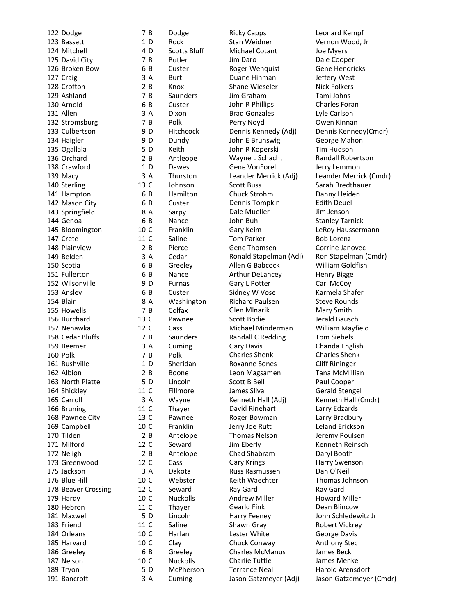122 Dodge 7 B Dodge Ricky Capps Leonard Kempf

123 Bassett 1 D Rock Stan Weidner Vernon Wood, Jr 124 Mitchell 4 D Scotts Bluff Michael Cotant Joe Myers 125 David City **125 David City** 7 B Butler Jim Daro **Dale Cooper Dale Cooper** 126 Broken Bow 126 Broken Bow 6 B Custer Roger Wenquist Gene Hendricks 127 Craig **127 Craig 127 Craig 127 Craig 127 Craig 127 Craig 128 Craig 128 Craig 128 Craig 128 Craig 128 Craig 129 Craig 129 Craig 129 Craig 129 Craig 129 Craig 129 Craig 129 Craig 129 Cra** 128 Crofton 2 B Knox Shane Wieseler Nick Folkers 129 Ashland 7 B Saunders Jim Graham Tami Johns 130 Arnold 6 B Custer John R Phillips Charles Foran 131 Allen 3 A Dixon Brad Gonzales Lyle Carlson 132 Stromsburg 7 B Polk Perry Noyd Owen Kinnan 134 Haigler **9D** Dundy John E Brunswig George Mahon 135 Ogallala 5 D Keith John R Koperski Tim Hudson 136 Orchard 2 B Antleope Wayne L Schacht Randall Robertson Dawes Gene VonForell Jerry Lemmon 140 Sterling 13 C Johnson Scott Buss Sarah Bredthauer 141 Hampton 6 B Hamilton Chuck Strohm Danny Heiden 142 Mason City 6 B Custer Dennis Tompkin Edith Deuel 143 Springfield 8 A Sarpy Dale Mueller Jim Jenson 144 Genoa 6 B Nance John Buhl Stanley Tarnick 145 Bloomington 10 C Franklin Gary Keim Care LeRoy Haussermann<br>147 Crete 11 C Saline Tom Parker Bob Lorenz 147 Crete 11 C Saline Tom Parker Bob Lorenz 148 Plainview 2 B Pierce Gene Thomsen Corrine Janovec 150 Scotia 6 B Greeley Allen G Babcock William Goldfish 151 Fullerton 6 B Nance Arthur DeLancey Henry Bigge 152 Wilsonville **9D** Furnas Gary L Potter Carl McCoy 153 Ansley 6 B Custer Sidney W Vose Karmela Shafer 154 Blair **8 A** Washington Richard Paulsen Steve Rounds 155 Howells 7 B Colfax Glen Mlnarik Mary Smith 156 Burchard 13 C Pawnee Scott Bodie Jerald Bausch 157 Nehawka 12 C Cass Michael Minderman William Mayfield Saunders Randall C Redding Tom Siebels 159 Beemer 3 A Cuming Gary Davis Chanda English 160 Polk 7 B Polk Charles Shenk Charles Shenk<br>161 Rushville 10 Sheridan Roxanne Sones Cliff Rininger 161 Rushville 1 D Sheridan Roxanne Sones Cliff Rininger 162 Albion 2 B Boone Leon Magsamen Tana McMillian 163 North Platte 5 D Lincoln Scott B Bell Paul Cooper 164 Shickley 11 C Fillmore James Sliva Gerald Stengel 165 Carroll 3 A Wayne Kenneth Hall (Adj) Kenneth Hall (Cmdr) 166 Bruning **11 C** Thayer **David Rinehart** Larry Edzards 168 Pawnee City 13 C Pawnee Roger Bowman Larry Bradbury 169 Campbell 10 C Franklin 19 Jerry Joe Rutt Leland Erickson<br>170 Tilden 170 C Antelope Thomas Nelson Jeremy Poulsen 2 B Antelope Thomas Nelson Jeremy Poulsen 171 Milford 12 C Seward Jim Eberly Kenneth Reinsch 172 Neligh 12 B Antelope Chad Shabram Daryl Booth<br>173 Greenwood 12 C Cass Gary Krings Harry Swens 173 Greenwood 12 C Cass Gary Krings Harry Swenson 175 Jackson 3 A Dakota Russ Rasmussen Dan O'Neill 176 Blue Hill 10 C Webster Keith Waechter Thomas Johnson 178 Beaver Crossing 12 C Seward Ray Gard Ray Gard Ray Gard 179 Hardy **10 C** Nuckolls Andrew Miller Howard Miller 180 Hebron 11 C Thayer Gearld Fink Dean Blincow 181 Maxwell 5 D Lincoln Harry Feeney John Schledewitz Jr 183 Friend 11 C Saline Shawn Gray Robert Vickrey<br>184 Orleans 10 C Harlan Lester White George Davis 184 Orleans **10 C** Harlan **Lester White** George Davis 185 Harvard 10 C Clay Chuck Conway Anthony Stec 186 Greeley 6 B Greeley Charles McManus James Beck 187 Nelson **10 C** Nuckolls Charlie Tuttle James Menke 189 Tryon Terrance Neal Harold Arensdorf

133 Culbertson 9 D Hitchcock Dennis Kennedy (Adj) Dennis Kennedy (Cmdr)<br>134 Haigler 9 D Dundy John F Brunswig George Mahon 139 Macy 3 A Thurston Leander Merrick (Adj) Leander Merrick (Cmdr) 149 Belden 3 A Cedar Ronald Stapelman (Adj) Ron Stapelman (Cmdr) 191 Bancroft **3 A** Cuming Jason Gatzmeyer (Adj) Jason Gatzemeyer (Cmdr)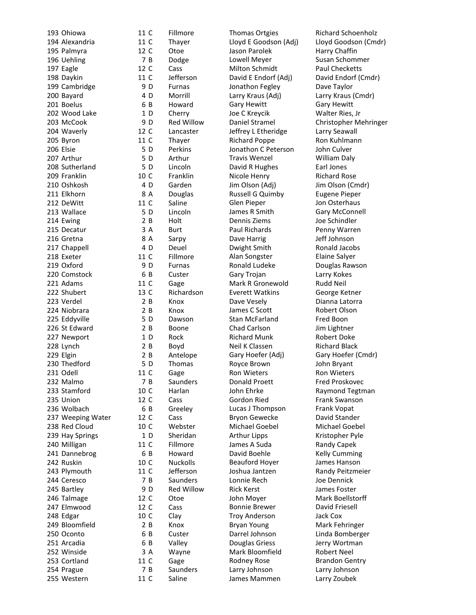193 Ohiowa 11 C 194 Alexandria 11 C 195 Palmyra 12 196 Uehling 197 Eagle 198 Daykin 11 C 199 Cambridge 200 Bayard 201 Boelus 202 Wood Lake 203 McCook 204 Waverly 12 C<br>205 Byron 11 C 205 Byron 206 Elsie 207 Arthur 208 Sutherland 209 Franklin 10 C 210 Oshkosh 211 Elkhorn 212 DeWitt 11 C 213 Wallace 214 Ewing 215 Decatur 216 Gretna 217 Chappell 218 Exeter 11 C 219 Oxford 220 Comstock 221 Adams 222 Shubert 13 C 223 Verdel 224 Niobrara 225 Eddyville 226 St Edward 227 Newport 228 Lynch 229 Elgin 230 Thedford 231 Odell 11 C 232 Malmo 233 Stamford 10 C 235 Union 12 C 236 Wolbach 237 Weeping Water 12 C 238 Red Cloud 10 C 239 Hay Springs 240 Milligan 11 C 241 Dannebrog 242 Ruskin 10 C 243 Plymouth 11 C 244 Ceresco 245 Bartley 246 Talmage 12 C<br>247 Elmwood 12 C 247 Elmwood 248 Edgar 10 C 249 Bloomfield 250 Oconto 251 Arcadia 252 Winside 253 Cortland 254 Prague 255 Western 11 C

9 D

 $\begin{array}{c} 7 B \\ 12 C \end{array}$ 

9 D

4 D

6

1

9

5

5

5

4 D

8

5

2 B

3

8

4 D

9<sub>D</sub>

6 B<br>11 C

2 B

 $2B$ 

5

2 B

1

2 B

2 B

5

7

6

1

6

7

2 B

6

6

 $\begin{array}{c} 3 A \\ 11 C \end{array}$ 

7

Fillmore Thomas Ortgies Richard Schoenholz Otoe Jason Parolek Harry Chaffin Dodge **Lowell Meyer** Susan Schommer Cass Milton Schmidt Paul Checketts Furnas Jonathon Fegley Morrill Larry Kraus (Adj) Larry Kraus (Cmdr) B Howard Gary Hewitt Gary Hewitt Cherry Joe C Kreycik Walter Ries, Jr Lancaster **Lancaster Beffrey L Etheridge** Larry Seawall<br>Thayer **Canacter Richard Poppe** Ron Kuhlmann Thayer Richard Poppe Perkins Jonathon C Peterson John Culver Arthur Travis Wenzel William Daly<br>
Incoln David R Hughes Farl Jones David R Hughes Earl Jones Franklin Nicole Henry Richard Rose Garden Jim Olson (Adj) Jim Olson (Cmdr) A Douglas Russell G Quimby Eugene Pieper Saline Glen Pieper Jon Osterhaus Lincoln James R Smith Gary McConnell B Holt Dennis Ziems Joe Schindler Burt Paul Richards Penny Warren Sarpy Dave Harrig Deff Johnson Deuel Dwight Smith **Ronald Jacobs** Fillmore Alan Songster Elaine Salyer Furnas **Ronald Ludeke Douglas Rawson** Custer **Gary Trojan** Larry Kokes Gage Mark R Gronewold Rudd Neil Richardson Everett Watkins George Ketner Knox Dave Vesely Dianna Latorra Knox James C Scott Robert Olson Dawson Stan McFarland Fred Boon Boone Chad Carlson Jim Lightner Rock Richard Munk Robert Doke Boyd Neil K Classen Richard Black Antelope Gary Hoefer (Adj) Gary Hoefer (Cmdr) Thomas Royce Brown John Bryant Gage Ron Wieters Ron Wieters Saunders **Donald Proett** Fred Proskovec Harlan John Ehrke Raymond Tegtman Cass Gordon Ried Frank Swanson Greeley Lucas J Thompson Frank Vopat Cass Bryon Gewecke David Stander Webster Michael Goebel Michael Goebel<br>
Sheridan Arthur Lipps Michael Goebel Sheridan Arthur Lipps Kristopher Pyle Fillmore James A Suda Randy Capek Howard David Boehle Kelly Cumming C Nuckolls Beauford Hoyer James Hanson C Jefferson Joshua Jantzen Randy Peitzmeier B Saunders Lonnie Rech Joe Dennick Red Willow Rick Kerst Foster Bames Foster Otoe John Moyer Mark Boellstorff Cass Bonnie Brewer David Friesell Clay Troy Anderson Jack Cox Knox Bryan Young Mark Fehringer Custer **Darrel Johnson** Linda Bomberger Valley Douglas Griess Jerry Wortman Wayne Mark Bloomfield Robert Neel Gage Rodney Rose Brandon Gentry Saunders Larry Johnson Larry Johnson

Thayer **Lloyd E Goodson (Adj)** Lloyd Goodson (Cmdr) C Jefferson David E Endorf (Adj) David Endorf (Cmdr) Red Willow Daniel Stramel Christopher Mehringer Saline **James Mammen** Larry Zoubek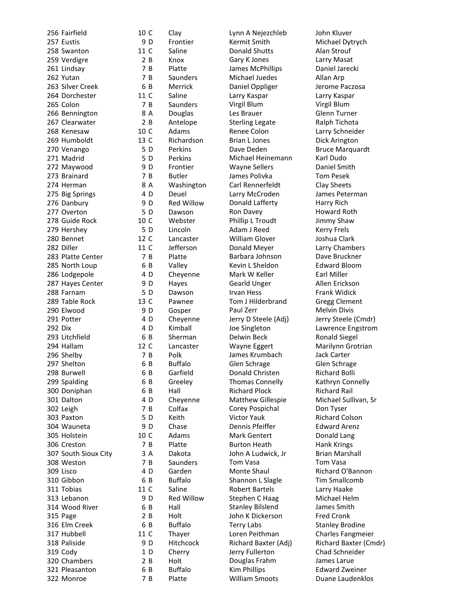256 Fairfield 10 C 257 Eustis 258 Swanton 11 C 259 Verdigre 261 Lindsay 262 Yutan 263 Silver Creek 264 Dorchester 265 Colon 266 Bennington 267 Clearwater 268 Kenesaw 10 C<br>269 Humboldt 13 C 269 Humboldt 270 Venango 271 Madrid 272 Maywood 273 Brainard 274 Herman 275 Big Springs 276 Danbury 277 Overton 278 Guide Rock 10 C 279 Hershey 280 Bennet 282 Diller 11 C 283 Platte Center 285 North Loup 286 Lodgepole 287 Hayes Center 288 Farnam 289 Table Rock 13 C 290 Elwood 291 Potter 292 Dix 293 Litchfield 294 Hallam 12 296 Shelby 297 Shelton 298 Burwell 299 Spalding 300 Doniphan 301 Dalton 302 Leigh 303 Paxton 304 Wauneta 305 Holstein 306 Creston 307 South Sioux City 308 Weston 309 Lisco 310 Gibbon 311 Tobias 313 Lebanon 314 Wood River 315 Page 316 Elm Creek 317 Hubbell 318 Paliside 319 Cody 320 Chambers 321 Pleasanton 322 Monroe

9 D 7 8 5 5 9<sub>D</sub> 8 4 D 9 D 5 5 D<br>12 C 4 D 9 D 5 4 D 4<sub>D</sub> 6 R 4 D 5  $\begin{array}{c} 9 \text{ D} \\ 10 \text{ C} \end{array}$ 3 B Saunders Tom Vasa Tom Vasa 4 D  $\begin{array}{c} 6 \text{ B} \\ 11 \text{ C} \end{array}$ 9<sub>D</sub> 9 1

2 B

7

7

6 B<br>11 C

2 B

7

7

6

9<sub>D</sub>

6

7

6

6

6

7 B

7

7

6

2 B

6 B<br>11 C

2 B

6

7 B

Clay Lynn A Nejezchleb John Kluver Frontier Kermit Smith Michael Dytrych Saline **Donald Shutts** Alan Strouf Example Sary K Jones (Sarry Masat Larry Masat Carry Masat Carry Masat Carry Masat Carry Masat Carry Masat Carry Masat Carry Masat Carry Masat Carry Masat Carry Masat Carry Masat Carry Masat Carry Masat Carry Masat Carry Ma James McPhillips Daniel Jarecki Saunders Michael Juedes Allan Arp Merrick Daniel Oppliger Jerome Paczosa Saline **Larry Kaspar** Larry Kaspar Saunders Virgil Blum Virgil Blum **Douglas** Les Brauer Glenn Turner Antelope Sterling Legate Ralph Tichota Adams Renee Colon Larry Schneider<br>
Richardson Brian L Jones Dick Arington Perkins Dave Deden Bruce Marquardt Perkins Michael Heinemann Karl Dudo<br>Frontier Wavne Sellers Daniel Sm Wayne Sellers Daniel Smith Butler **James Polivka** Tom Pesek Washington Carl Rennerfeldt Clay Sheets Deuel Larry McCroden James Peterman Red Willow Donald Lafferty Harry Rich Dawson Ron Davey Howard Roth Webster Phillip L Troudt Froudt Jimmy Shaw Lincoln **Adam J Reed** Kerry Frels Lancaster William Glover Joshua Clark Jefferson Donald Meyer Larry Chambers B Platte Barbara Johnson Dave Bruckner Valley Kevin L Sheldon Cheyenne Mark W Keller Earl Miller Hayes Gearld Unger Allen Erickson Dawson Irvan Hess Frank Widick Pawnee Tom J Hilderbrand Gregg Clement Gosper Paul Zerr Melvin Divis D Cheyenne Jerry D Steele (Adj) Jerry Steele (Cmdr) Kimball Joe Singleton Lawrence Engstrom<br>Sherman Delwin Beck Ronald Siegel Delwin Beck Ronald Siegel Lancaster **Wayne Eggert** Marilynn Grotrian Polk James Krumbach Jack Carter<br>Buffalo Glen Schrage Glen Schrag Glen Schrage Glen Schrage Garfield **Donald Christen** Richard Bolli Greeley Thomas Connelly Kathryn Connelly B Hall Richard Plock Richard Rail Chevenne Matthew Gillespie Michael Sullivan, Sr Colfax Corey Pospichal Don Tyser Keith **Victor Yauk** Richard Colson Chase **Dennis Pfeiffer** Edward Arenz<br> **Chame** Mark Gentert **Conald Lang** Mark Gentert Donald Lang Platte Burton Heath Hank Krings A Dakota John A Ludwick, Jr Brian Marshall D Garden Monte Shaul Richard O'Bannon Shannon L Slagle Tim Smallcomb Saline **Robert Bartels** Larry Haake Red Willow Stephen C Haag Michael Helm Hall Stanley Bilslend James Smith Holt **Holt** John K Dickerson Fred Cronk Buffalo **Terry Labs** Stanley Brodine Thayer **Loren Peithman** Charles Fangmeier Cherry **Derry Fullerton** Chad Schneider B Holt Douglas Frahm James Larue Buffalo Kim Phillips Edward Zweiner

Dick Arington Hitchcock Richard Baxter (Adj) Richard Baxter (Cmdr) B Platte William Smoots Duane Laudenklos